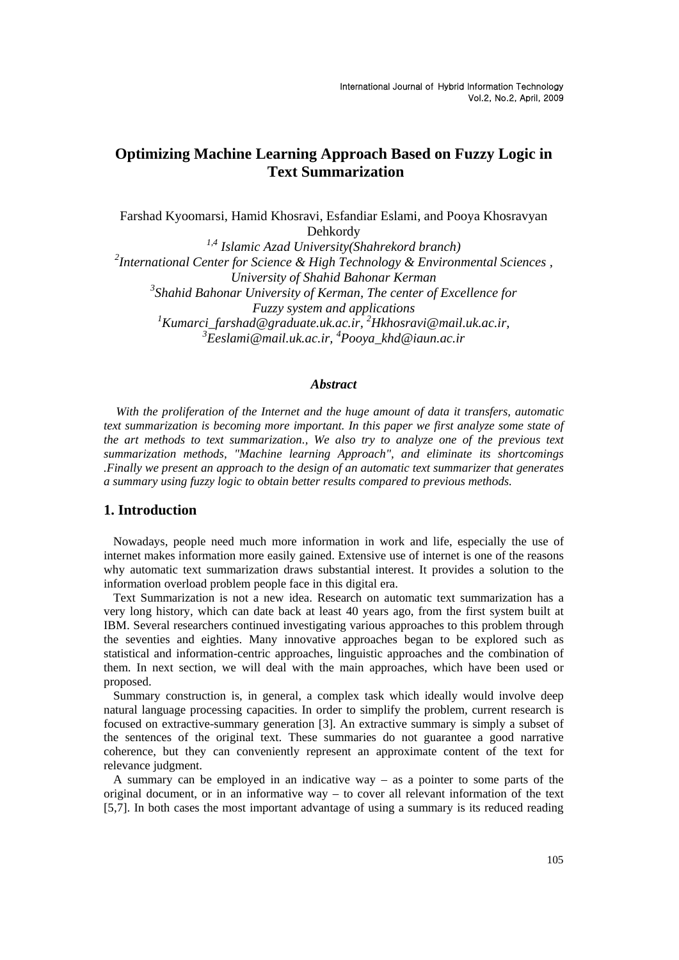# **Optimizing Machine Learning Approach Based on Fuzzy Logic in Text Summarization**

Farshad Kyoomarsi, Hamid Khosravi, Esfandiar Eslami, and Pooya Khosravyan Dehkordy *1,4 Islamic Azad University(Shahrekord branch)*  <sup>2</sup> International Center for Science & High Technology & Environmental Sciences, *University of Shahid Bahonar Kerman 3 Shahid Bahonar University of Kerman, The center of Excellence for Fuzzy system and applications 1 Kumarci\_farshad@graduate.uk.ac.ir, 2 Hkhosravi@mail.uk.ac.ir, 3 Eeslami@mail.uk.ac.ir, <sup>4</sup> Pooya\_khd@iaun.ac.ir*

### *Abstract*

 *With the proliferation of the Internet and the huge amount of data it transfers, automatic text summarization is becoming more important. In this paper we first analyze some state of the art methods to text summarization., We also try to analyze one of the previous text summarization methods, "Machine learning Approach", and eliminate its shortcomings .Finally we present an approach to the design of an automatic text summarizer that generates a summary using fuzzy logic to obtain better results compared to previous methods.* 

# **1. Introduction**

Nowadays, people need much more information in work and life, especially the use of internet makes information more easily gained. Extensive use of internet is one of the reasons why automatic text summarization draws substantial interest. It provides a solution to the information overload problem people face in this digital era.

Text Summarization is not a new idea. Research on automatic text summarization has a very long history, which can date back at least 40 years ago, from the first system built at IBM. Several researchers continued investigating various approaches to this problem through the seventies and eighties. Many innovative approaches began to be explored such as statistical and information-centric approaches, linguistic approaches and the combination of them. In next section, we will deal with the main approaches, which have been used or proposed.

Summary construction is, in general, a complex task which ideally would involve deep natural language processing capacities. In order to simplify the problem, current research is focused on extractive-summary generation [3]. An extractive summary is simply a subset of the sentences of the original text. These summaries do not guarantee a good narrative coherence, but they can conveniently represent an approximate content of the text for relevance judgment.

A summary can be employed in an indicative way – as a pointer to some parts of the original document, or in an informative way – to cover all relevant information of the text [5,7]. In both cases the most important advantage of using a summary is its reduced reading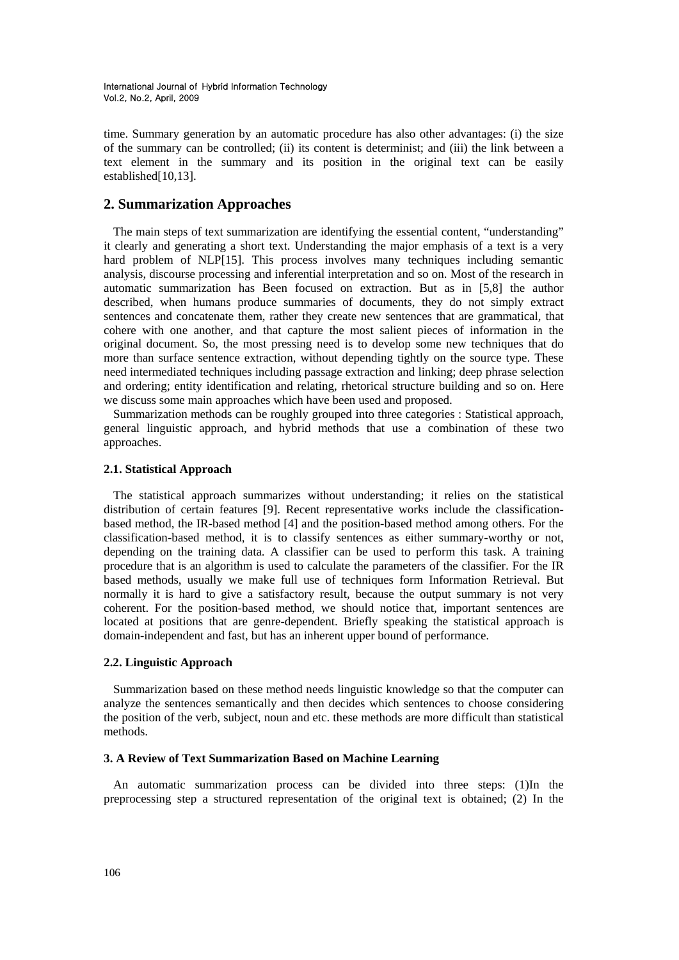time. Summary generation by an automatic procedure has also other advantages: (i) the size of the summary can be controlled; (ii) its content is determinist; and (iii) the link between a text element in the summary and its position in the original text can be easily established<sup>[10,13]</sup>.

### **2. Summarization Approaches**

The main steps of text summarization are identifying the essential content, "understanding" it clearly and generating a short text. Understanding the major emphasis of a text is a very hard problem of NLP[15]. This process involves many techniques including semantic analysis, discourse processing and inferential interpretation and so on. Most of the research in automatic summarization has Been focused on extraction. But as in [5,8] the author described, when humans produce summaries of documents, they do not simply extract sentences and concatenate them, rather they create new sentences that are grammatical, that cohere with one another, and that capture the most salient pieces of information in the original document. So, the most pressing need is to develop some new techniques that do more than surface sentence extraction, without depending tightly on the source type. These need intermediated techniques including passage extraction and linking; deep phrase selection and ordering; entity identification and relating, rhetorical structure building and so on. Here we discuss some main approaches which have been used and proposed.

Summarization methods can be roughly grouped into three categories : Statistical approach, general linguistic approach, and hybrid methods that use a combination of these two approaches.

#### **2.1. Statistical Approach**

The statistical approach summarizes without understanding; it relies on the statistical distribution of certain features [9]. Recent representative works include the classificationbased method, the IR-based method [4] and the position-based method among others. For the classification-based method, it is to classify sentences as either summary-worthy or not, depending on the training data. A classifier can be used to perform this task. A training procedure that is an algorithm is used to calculate the parameters of the classifier. For the IR based methods, usually we make full use of techniques form Information Retrieval. But normally it is hard to give a satisfactory result, because the output summary is not very coherent. For the position-based method, we should notice that, important sentences are located at positions that are genre-dependent. Briefly speaking the statistical approach is domain-independent and fast, but has an inherent upper bound of performance.

### **2.2. Linguistic Approach**

Summarization based on these method needs linguistic knowledge so that the computer can analyze the sentences semantically and then decides which sentences to choose considering the position of the verb, subject, noun and etc. these methods are more difficult than statistical methods.

### **3. A Review of Text Summarization Based on Machine Learning**

An automatic summarization process can be divided into three steps: (1)In the preprocessing step a structured representation of the original text is obtained; (2) In the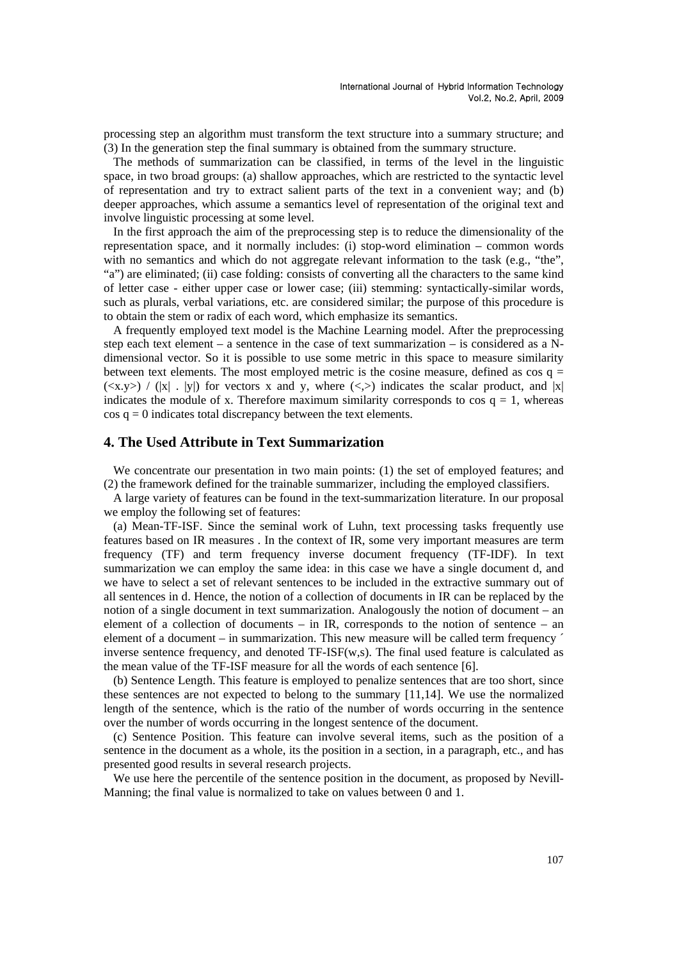processing step an algorithm must transform the text structure into a summary structure; and (3) In the generation step the final summary is obtained from the summary structure.

The methods of summarization can be classified, in terms of the level in the linguistic space, in two broad groups: (a) shallow approaches, which are restricted to the syntactic level of representation and try to extract salient parts of the text in a convenient way; and (b) deeper approaches, which assume a semantics level of representation of the original text and involve linguistic processing at some level.

In the first approach the aim of the preprocessing step is to reduce the dimensionality of the representation space, and it normally includes: (i) stop-word elimination – common words with no semantics and which do not aggregate relevant information to the task (e.g., "the", "a") are eliminated; (ii) case folding: consists of converting all the characters to the same kind of letter case - either upper case or lower case; (iii) stemming: syntactically-similar words, such as plurals, verbal variations, etc. are considered similar; the purpose of this procedure is to obtain the stem or radix of each word, which emphasize its semantics.

A frequently employed text model is the Machine Learning model. After the preprocessing step each text element – a sentence in the case of text summarization – is considered as a Ndimensional vector. So it is possible to use some metric in this space to measure similarity between text elements. The most employed metric is the cosine measure, defined as  $cos q =$  $(\langle x, y \rangle)$  /  $(|x|, |y|)$  for vectors x and y, where  $(\langle x, y \rangle)$  indicates the scalar product, and |x| indicates the module of x. Therefore maximum similarity corresponds to  $\cos q = 1$ , whereas  $\cos q = 0$  indicates total discrepancy between the text elements.

# **4. The Used Attribute in Text Summarization**

We concentrate our presentation in two main points: (1) the set of employed features; and (2) the framework defined for the trainable summarizer, including the employed classifiers.

A large variety of features can be found in the text-summarization literature. In our proposal we employ the following set of features:

(a) Mean-TF-ISF. Since the seminal work of Luhn, text processing tasks frequently use features based on IR measures . In the context of IR, some very important measures are term frequency (TF) and term frequency inverse document frequency (TF-IDF). In text summarization we can employ the same idea: in this case we have a single document d, and we have to select a set of relevant sentences to be included in the extractive summary out of all sentences in d. Hence, the notion of a collection of documents in IR can be replaced by the notion of a single document in text summarization. Analogously the notion of document – an element of a collection of documents – in IR, corresponds to the notion of sentence – an element of a document – in summarization. This new measure will be called term frequency  $\acute{\ }$ inverse sentence frequency, and denoted TF-ISF(w,s). The final used feature is calculated as the mean value of the TF-ISF measure for all the words of each sentence [6].

(b) Sentence Length. This feature is employed to penalize sentences that are too short, since these sentences are not expected to belong to the summary [11,14]. We use the normalized length of the sentence, which is the ratio of the number of words occurring in the sentence over the number of words occurring in the longest sentence of the document.

(c) Sentence Position. This feature can involve several items, such as the position of a sentence in the document as a whole, its the position in a section, in a paragraph, etc., and has presented good results in several research projects.

We use here the percentile of the sentence position in the document, as proposed by Nevill-Manning; the final value is normalized to take on values between 0 and 1.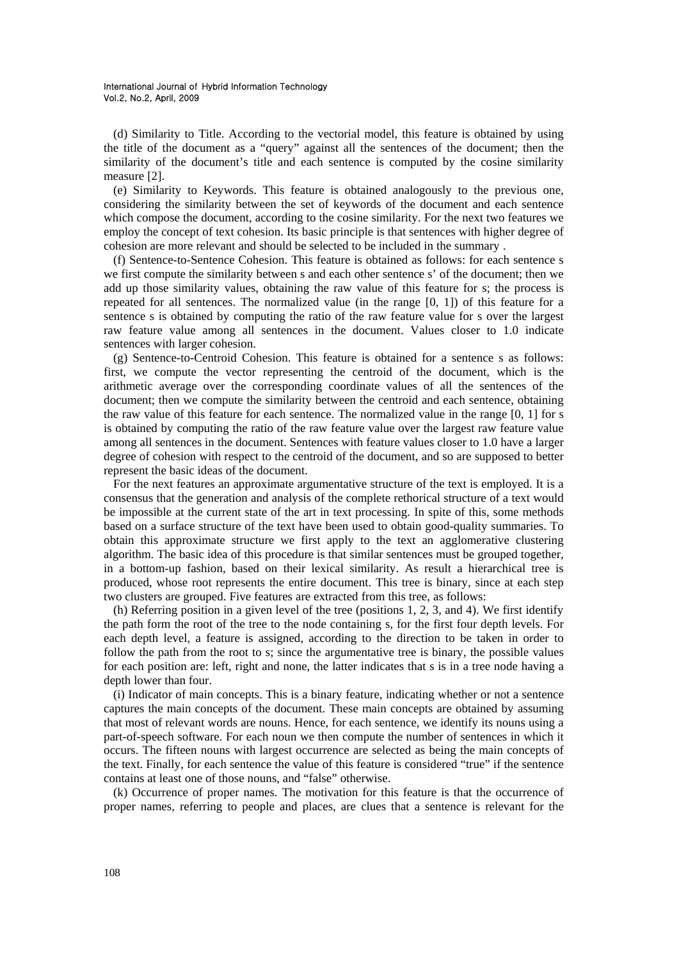(d) Similarity to Title. According to the vectorial model, this feature is obtained by using the title of the document as a "query" against all the sentences of the document; then the similarity of the document's title and each sentence is computed by the cosine similarity measure [2].

(e) Similarity to Keywords. This feature is obtained analogously to the previous one, considering the similarity between the set of keywords of the document and each sentence which compose the document, according to the cosine similarity. For the next two features we employ the concept of text cohesion. Its basic principle is that sentences with higher degree of cohesion are more relevant and should be selected to be included in the summary .

(f) Sentence-to-Sentence Cohesion. This feature is obtained as follows: for each sentence s we first compute the similarity between s and each other sentence s' of the document; then we add up those similarity values, obtaining the raw value of this feature for s; the process is repeated for all sentences. The normalized value (in the range [0, 1]) of this feature for a sentence s is obtained by computing the ratio of the raw feature value for s over the largest raw feature value among all sentences in the document. Values closer to 1.0 indicate sentences with larger cohesion.

(g) Sentence-to-Centroid Cohesion. This feature is obtained for a sentence s as follows: first, we compute the vector representing the centroid of the document, which is the arithmetic average over the corresponding coordinate values of all the sentences of the document; then we compute the similarity between the centroid and each sentence, obtaining the raw value of this feature for each sentence. The normalized value in the range  $[0, 1]$  for s is obtained by computing the ratio of the raw feature value over the largest raw feature value among all sentences in the document. Sentences with feature values closer to 1.0 have a larger degree of cohesion with respect to the centroid of the document, and so are supposed to better represent the basic ideas of the document.

For the next features an approximate argumentative structure of the text is employed. It is a consensus that the generation and analysis of the complete rethorical structure of a text would be impossible at the current state of the art in text processing. In spite of this, some methods based on a surface structure of the text have been used to obtain good-quality summaries. To obtain this approximate structure we first apply to the text an agglomerative clustering algorithm. The basic idea of this procedure is that similar sentences must be grouped together, in a bottom-up fashion, based on their lexical similarity. As result a hierarchical tree is produced, whose root represents the entire document. This tree is binary, since at each step two clusters are grouped. Five features are extracted from this tree, as follows:

(h) Referring position in a given level of the tree (positions 1, 2, 3, and 4). We first identify the path form the root of the tree to the node containing s, for the first four depth levels. For each depth level, a feature is assigned, according to the direction to be taken in order to follow the path from the root to s; since the argumentative tree is binary, the possible values for each position are: left, right and none, the latter indicates that s is in a tree node having a depth lower than four.

(i) Indicator of main concepts. This is a binary feature, indicating whether or not a sentence captures the main concepts of the document. These main concepts are obtained by assuming that most of relevant words are nouns. Hence, for each sentence, we identify its nouns using a part-of-speech software. For each noun we then compute the number of sentences in which it occurs. The fifteen nouns with largest occurrence are selected as being the main concepts of the text. Finally, for each sentence the value of this feature is considered "true" if the sentence contains at least one of those nouns, and "false" otherwise.

(k) Occurrence of proper names. The motivation for this feature is that the occurrence of proper names, referring to people and places, are clues that a sentence is relevant for the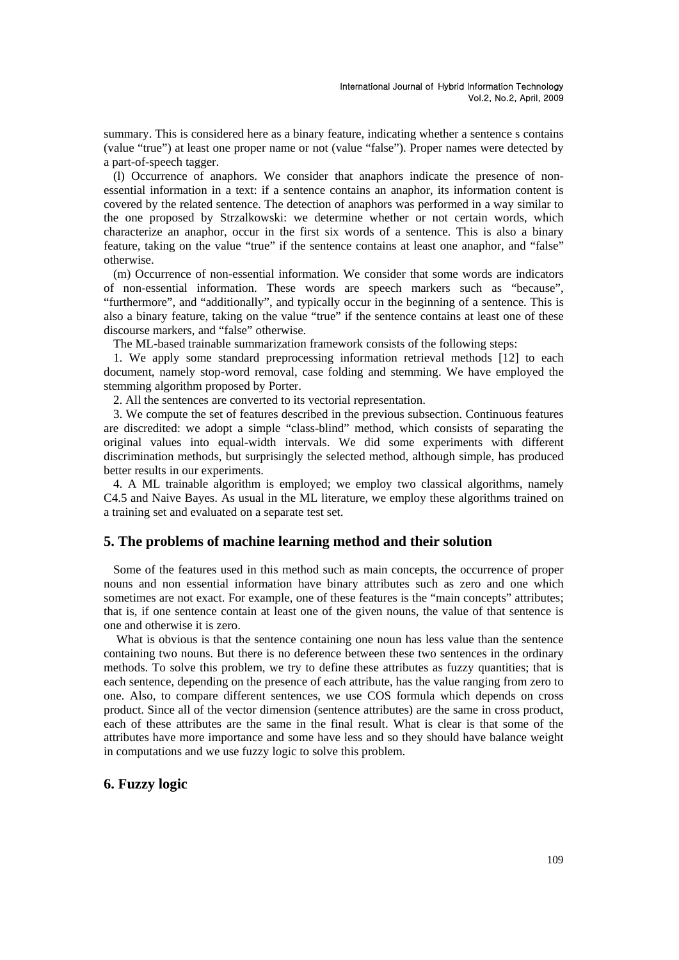summary. This is considered here as a binary feature, indicating whether a sentence s contains (value "true") at least one proper name or not (value "false"). Proper names were detected by a part-of-speech tagger.

(l) Occurrence of anaphors. We consider that anaphors indicate the presence of nonessential information in a text: if a sentence contains an anaphor, its information content is covered by the related sentence. The detection of anaphors was performed in a way similar to the one proposed by Strzalkowski: we determine whether or not certain words, which characterize an anaphor, occur in the first six words of a sentence. This is also a binary feature, taking on the value "true" if the sentence contains at least one anaphor, and "false" otherwise.

(m) Occurrence of non-essential information. We consider that some words are indicators of non-essential information. These words are speech markers such as "because", "furthermore", and "additionally", and typically occur in the beginning of a sentence. This is also a binary feature, taking on the value "true" if the sentence contains at least one of these discourse markers, and "false" otherwise.

The ML-based trainable summarization framework consists of the following steps:

1. We apply some standard preprocessing information retrieval methods [12] to each document, namely stop-word removal, case folding and stemming. We have employed the stemming algorithm proposed by Porter.

2. All the sentences are converted to its vectorial representation.

3. We compute the set of features described in the previous subsection. Continuous features are discredited: we adopt a simple "class-blind" method, which consists of separating the original values into equal-width intervals. We did some experiments with different discrimination methods, but surprisingly the selected method, although simple, has produced better results in our experiments.

4. A ML trainable algorithm is employed; we employ two classical algorithms, namely C4.5 and Naive Bayes. As usual in the ML literature, we employ these algorithms trained on a training set and evaluated on a separate test set.

## **5. The problems of machine learning method and their solution**

Some of the features used in this method such as main concepts, the occurrence of proper nouns and non essential information have binary attributes such as zero and one which sometimes are not exact. For example, one of these features is the "main concepts" attributes; that is, if one sentence contain at least one of the given nouns, the value of that sentence is one and otherwise it is zero.

 What is obvious is that the sentence containing one noun has less value than the sentence containing two nouns. But there is no deference between these two sentences in the ordinary methods. To solve this problem, we try to define these attributes as fuzzy quantities; that is each sentence, depending on the presence of each attribute, has the value ranging from zero to one. Also, to compare different sentences, we use COS formula which depends on cross product. Since all of the vector dimension (sentence attributes) are the same in cross product, each of these attributes are the same in the final result. What is clear is that some of the attributes have more importance and some have less and so they should have balance weight in computations and we use fuzzy logic to solve this problem.

# **6. Fuzzy logic**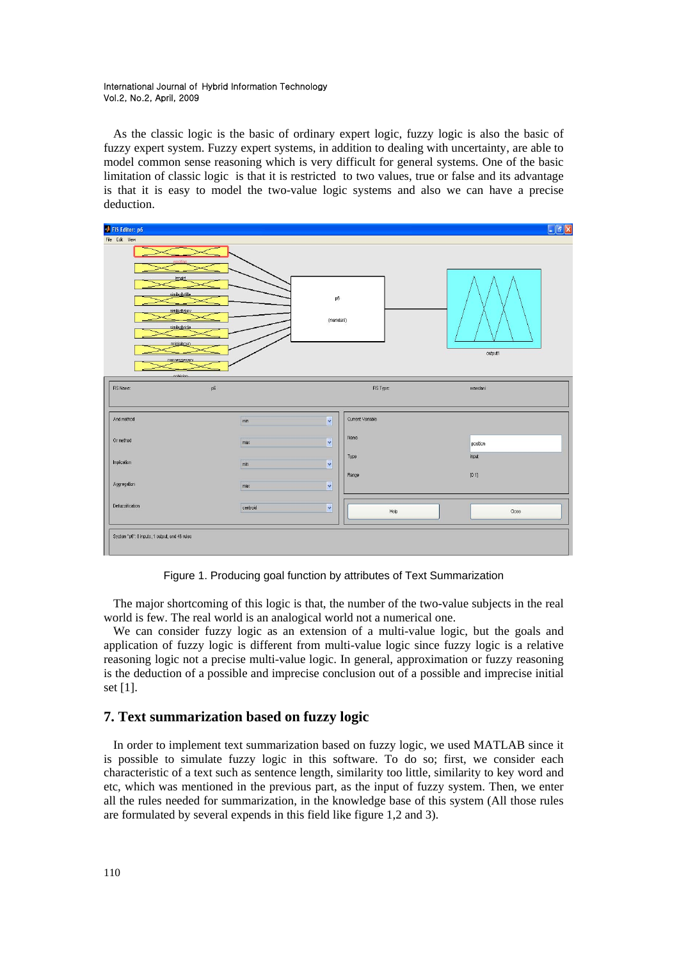As the classic logic is the basic of ordinary expert logic, fuzzy logic is also the basic of fuzzy expert system. Fuzzy expert systems, in addition to dealing with uncertainty, are able to model common sense reasoning which is very difficult for general systems. One of the basic limitation of classic logic is that it is restricted to two values, true or false and its advantage is that it is easy to model the two-value logic systems and also we can have a precise deduction.

| $\sqrt{\frac{1}{2}}$ FIS Editor: p6                                                                                      |          |                            |                  | $\Box$ e $\times$ |
|--------------------------------------------------------------------------------------------------------------------------|----------|----------------------------|------------------|-------------------|
| File Edit View                                                                                                           |          |                            |                  |                   |
| <b>nosition</b><br>lenght<br>siniarivtitle<br>sinilaritykev<br>sinilaritvidia<br>snisialnoun<br>nonnessesary<br>cohicion |          | $\mathsf{p6}$<br>(mamdani) |                  | output1           |
| FIS Name:                                                                                                                | p6       |                            | FIS Type:        | mamdani           |
| And method                                                                                                               | min      | $\checkmark$               | Current Variable |                   |
| Or method                                                                                                                | max      | Name<br>Y                  |                  | position          |
| Implication                                                                                                              | min      | Type<br>Y                  |                  | input             |
| Aggregation                                                                                                              | max      | Range<br>×                 |                  | [01]              |
|                                                                                                                          |          |                            |                  |                   |
| Defuzzification                                                                                                          | centroid | Y                          | He               | Close             |
| System "p6": 8 inputs, 1 output, and 46 rules                                                                            |          |                            |                  |                   |

Figure 1. Producing goal function by attributes of Text Summarization

The major shortcoming of this logic is that, the number of the two-value subjects in the real world is few. The real world is an analogical world not a numerical one.

We can consider fuzzy logic as an extension of a multi-value logic, but the goals and application of fuzzy logic is different from multi-value logic since fuzzy logic is a relative reasoning logic not a precise multi-value logic. In general, approximation or fuzzy reasoning is the deduction of a possible and imprecise conclusion out of a possible and imprecise initial set [1].

# **7. Text summarization based on fuzzy logic**

In order to implement text summarization based on fuzzy logic, we used MATLAB since it is possible to simulate fuzzy logic in this software. To do so; first, we consider each characteristic of a text such as sentence length, similarity too little, similarity to key word and etc, which was mentioned in the previous part, as the input of fuzzy system. Then, we enter all the rules needed for summarization, in the knowledge base of this system (All those rules are formulated by several expends in this field like figure 1,2 and 3).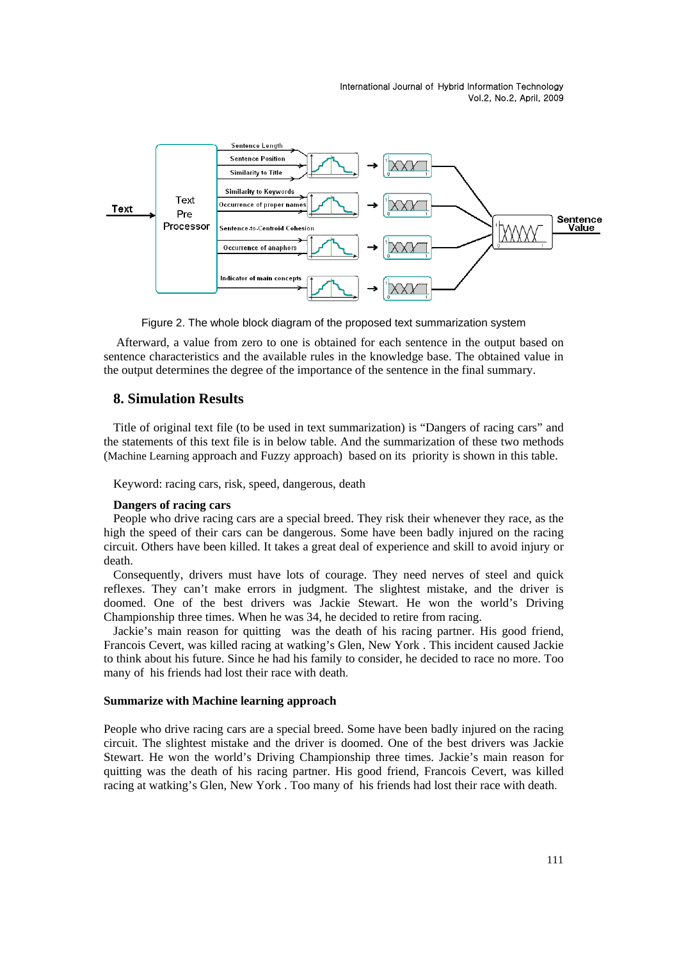

Figure 2. The whole block diagram of the proposed text summarization system

 Afterward, a value from zero to one is obtained for each sentence in the output based on sentence characteristics and the available rules in the knowledge base. The obtained value in the output determines the degree of the importance of the sentence in the final summary.

# **8. Simulation Results**

Title of original text file (to be used in text summarization) is "Dangers of racing cars" and the statements of this text file is in below table. And the summarization of these two methods (Machine Learning approach and Fuzzy approach) based on its priority is shown in this table.

Keyword: racing cars, risk, speed, dangerous, death

### **Dangers of racing cars**

People who drive racing cars are a special breed. They risk their whenever they race, as the high the speed of their cars can be dangerous. Some have been badly injured on the racing circuit. Others have been killed. It takes a great deal of experience and skill to avoid injury or death.

Consequently, drivers must have lots of courage. They need nerves of steel and quick reflexes. They can't make errors in judgment. The slightest mistake, and the driver is doomed. One of the best drivers was Jackie Stewart. He won the world's Driving Championship three times. When he was 34, he decided to retire from racing.

Jackie's main reason for quitting was the death of his racing partner. His good friend, Francois Cevert, was killed racing at watking's Glen, New York . This incident caused Jackie to think about his future. Since he had his family to consider, he decided to race no more. Too many of his friends had lost their race with death.

### **Summarize with Machine learning approach**

People who drive racing cars are a special breed. Some have been badly injured on the racing circuit. The slightest mistake and the driver is doomed. One of the best drivers was Jackie Stewart. He won the world's Driving Championship three times. Jackie's main reason for quitting was the death of his racing partner. His good friend, Francois Cevert, was killed racing at watking's Glen, New York . Too many of his friends had lost their race with death.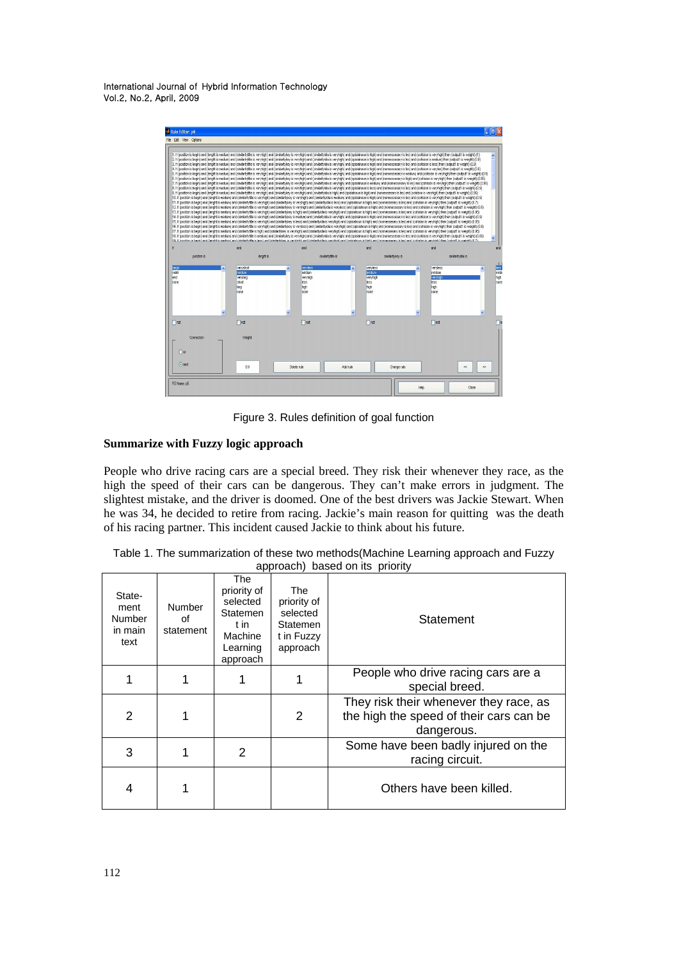

Figure 3. Rules definition of goal function

## **Summarize with Fuzzy logic approach**

People who drive racing cars are a special breed. They risk their whenever they race, as the high the speed of their cars can be dangerous. They can't make errors in judgment. The slightest mistake, and the driver is doomed. One of the best drivers was Jackie Stewart. When he was 34, he decided to retire from racing. Jackie's main reason for quitting was the death of his racing partner. This incident caused Jackie to think about his future.

| Table 1. The summarization of these two methods (Machine Learning approach and Fuzzy |                                 |  |
|--------------------------------------------------------------------------------------|---------------------------------|--|
|                                                                                      | approach) based on its priority |  |

| State-<br>ment<br><b>Number</b><br>in main<br>text | Number<br>οf<br>statement | The<br>priority of<br>selected<br>Statemen<br>t in<br>Machine<br>Learning<br>approach | The<br>priority of<br>selected<br><b>Statemen</b><br>t in Fuzzy<br>approach | <b>Statement</b>                                                                                |
|----------------------------------------------------|---------------------------|---------------------------------------------------------------------------------------|-----------------------------------------------------------------------------|-------------------------------------------------------------------------------------------------|
|                                                    | 1                         | 1                                                                                     |                                                                             | People who drive racing cars are a<br>special breed.                                            |
| 2                                                  | 1                         |                                                                                       | 2                                                                           | They risk their whenever they race, as<br>the high the speed of their cars can be<br>dangerous. |
| 3                                                  | 1                         | 2                                                                                     |                                                                             | Some have been badly injured on the<br>racing circuit.                                          |
| 4                                                  | 1                         |                                                                                       |                                                                             | Others have been killed.                                                                        |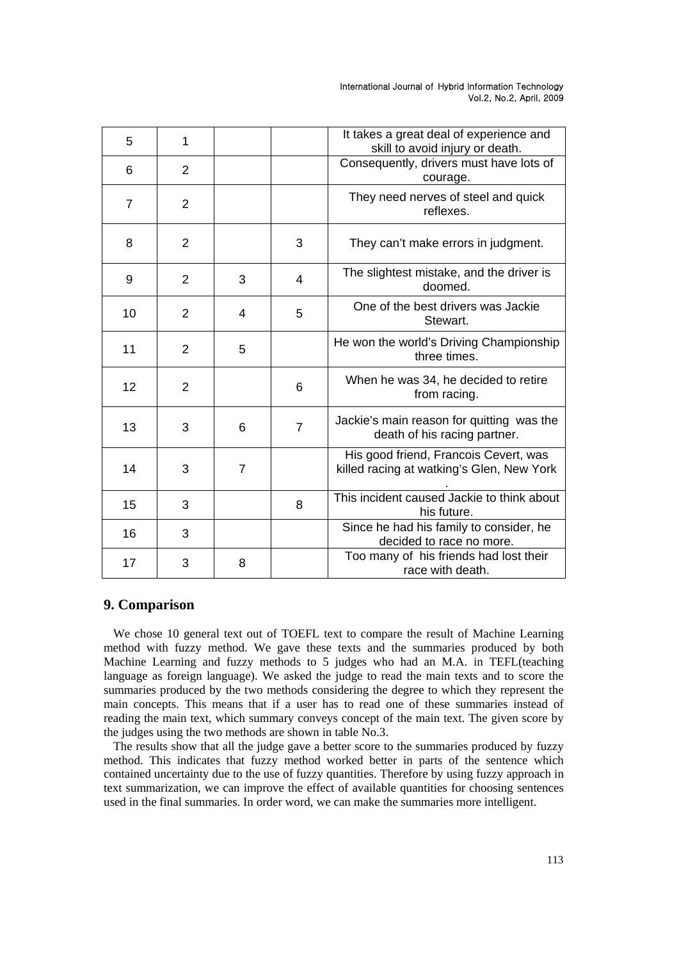| 5  | 1              |                |                | It takes a great deal of experience and<br>skill to avoid injury or death.         |
|----|----------------|----------------|----------------|------------------------------------------------------------------------------------|
| 6  | 2              |                |                | Consequently, drivers must have lots of<br>courage.                                |
| 7  | $\overline{2}$ |                |                | They need nerves of steel and quick<br>reflexes.                                   |
| 8  | 2              |                | 3              | They can't make errors in judgment.                                                |
| 9  | 2              | 3              | 4              | The slightest mistake, and the driver is<br>doomed.                                |
| 10 | $\overline{2}$ | 4              | 5              | One of the best drivers was Jackie<br>Stewart.                                     |
| 11 | $\overline{2}$ | 5              |                | He won the world's Driving Championship<br>three times.                            |
| 12 | $\overline{2}$ |                | 6              | When he was 34, he decided to retire<br>from racing.                               |
| 13 | 3              | 6              | $\overline{7}$ | Jackie's main reason for quitting was the<br>death of his racing partner.          |
| 14 | 3              | $\overline{7}$ |                | His good friend, Francois Cevert, was<br>killed racing at watking's Glen, New York |
| 15 | 3              |                | 8              | This incident caused Jackie to think about<br>his future.                          |
| 16 | 3              |                |                | Since he had his family to consider, he<br>decided to race no more.                |
| 17 | 3              | 8              |                | Too many of his friends had lost their<br>race with death.                         |

# **9. Comparison**

We chose 10 general text out of TOEFL text to compare the result of Machine Learning method with fuzzy method. We gave these texts and the summaries produced by both Machine Learning and fuzzy methods to 5 judges who had an M.A. in TEFL(teaching language as foreign language). We asked the judge to read the main texts and to score the summaries produced by the two methods considering the degree to which they represent the main concepts. This means that if a user has to read one of these summaries instead of reading the main text, which summary conveys concept of the main text. The given score by the judges using the two methods are shown in table No.3.

The results show that all the judge gave a better score to the summaries produced by fuzzy method. This indicates that fuzzy method worked better in parts of the sentence which contained uncertainty due to the use of fuzzy quantities. Therefore by using fuzzy approach in text summarization, we can improve the effect of available quantities for choosing sentences used in the final summaries. In order word, we can make the summaries more intelligent.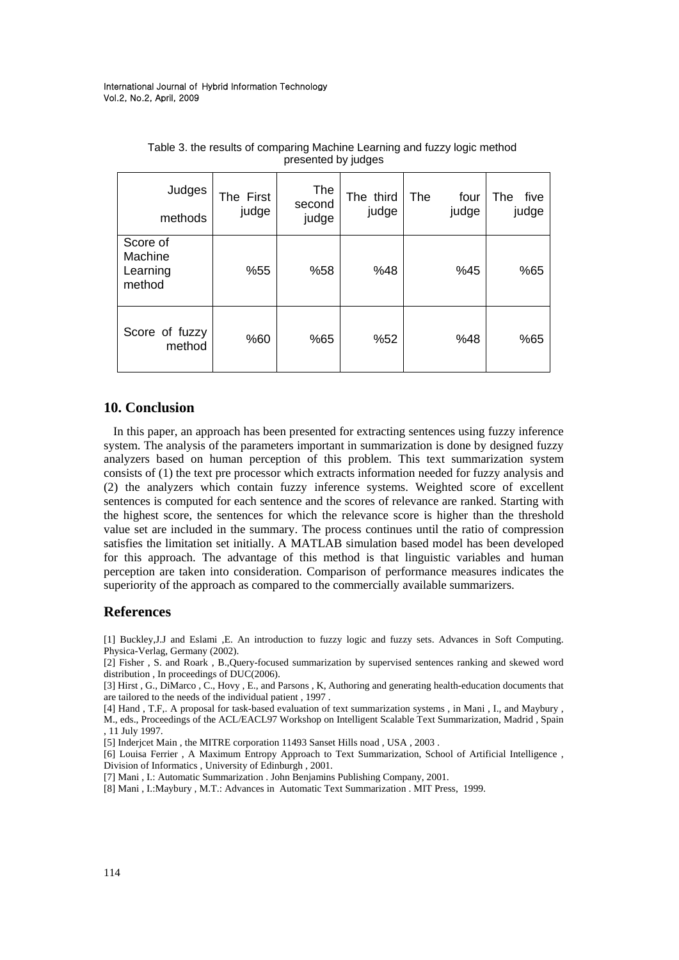| Judges<br>methods                         | The First<br>judge | The<br>second<br>judge | The third<br>judge | The<br>four<br>judge | The<br>five<br>judge |
|-------------------------------------------|--------------------|------------------------|--------------------|----------------------|----------------------|
| Score of<br>Machine<br>Learning<br>method | %55                | %58                    | %48                | %45                  | %65                  |
| Score of fuzzy<br>method                  | %60                | %65                    | %52                | %48                  | %65                  |

| Table 3. the results of comparing Machine Learning and fuzzy logic method |
|---------------------------------------------------------------------------|
| presented by judges                                                       |

## **10. Conclusion**

In this paper, an approach has been presented for extracting sentences using fuzzy inference system. The analysis of the parameters important in summarization is done by designed fuzzy analyzers based on human perception of this problem. This text summarization system consists of (1) the text pre processor which extracts information needed for fuzzy analysis and (2) the analyzers which contain fuzzy inference systems. Weighted score of excellent sentences is computed for each sentence and the scores of relevance are ranked. Starting with the highest score, the sentences for which the relevance score is higher than the threshold value set are included in the summary. The process continues until the ratio of compression satisfies the limitation set initially. A MATLAB simulation based model has been developed for this approach. The advantage of this method is that linguistic variables and human perception are taken into consideration. Comparison of performance measures indicates the superiority of the approach as compared to the commercially available summarizers.

## **References**

[1] Buckley,J.J and Eslami ,E. An introduction to fuzzy logic and fuzzy sets. Advances in Soft Computing. Physica-Verlag, Germany (2002).

[2] Fisher , S. and Roark , B.,Query-focused summarization by supervised sentences ranking and skewed word distribution , In proceedings of DUC(2006).

[3] Hirst , G., DiMarco , C., Hovy , E., and Parsons , K, Authoring and generating health-education documents that are tailored to the needs of the individual patient , 1997 .

[4] Hand , T.F,. A proposal for task-based evaluation of text summarization systems , in Mani , I., and Maybury , M., eds., Proceedings of the ACL/EACL97 Workshop on Intelligent Scalable Text Summarization, Madrid , Spain

, 11 July 1997. [5] Inderjcet Main , the MITRE corporation 11493 Sanset Hills noad , USA , 2003 .

[6] Louisa Ferrier , A Maximum Entropy Approach to Text Summarization, School of Artificial Intelligence , Division of Informatics , University of Edinburgh , 2001.

[7] Mani , I.: Automatic Summarization . John Benjamins Publishing Company, 2001.

[8] Mani , I.:Maybury , M.T.: Advances in Automatic Text Summarization . MIT Press, 1999.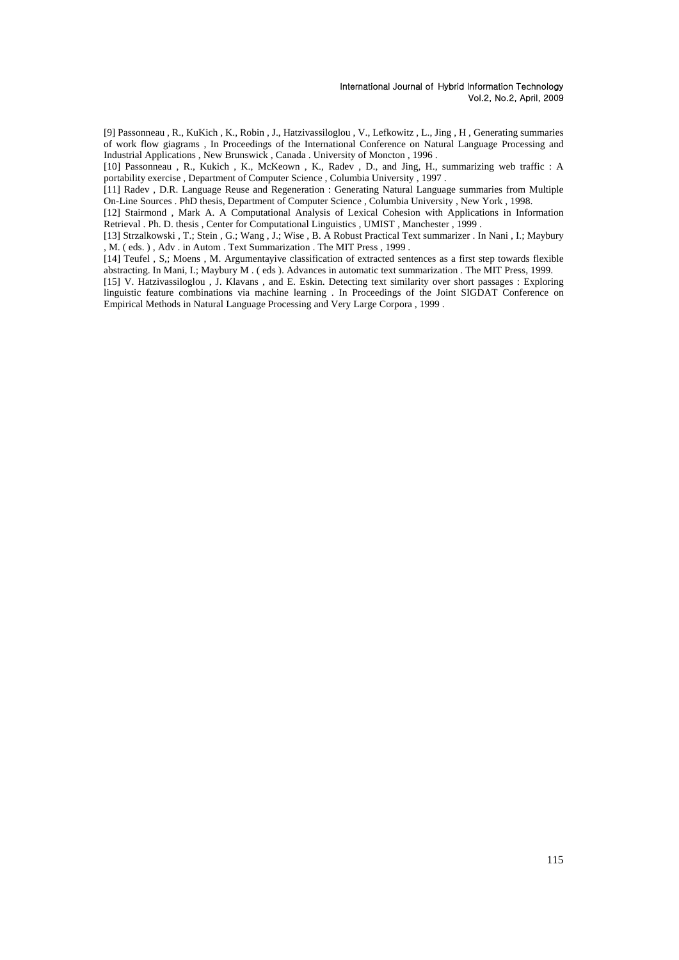[9] Passonneau , R., KuKich , K., Robin , J., Hatzivassiloglou , V., Lefkowitz , L., Jing , H , Generating summaries of work flow giagrams , In Proceedings of the International Conference on Natural Language Processing and Industrial Applications , New Brunswick , Canada . University of Moncton , 1996 .

[10] Passonneau , R., Kukich , K., McKeown , K., Radev , D., and Jing, H., summarizing web traffic : A portability exercise , Department of Computer Science , Columbia University , 1997 .

[11] Radev , D.R. Language Reuse and Regeneration : Generating Natural Language summaries from Multiple On-Line Sources . PhD thesis, Department of Computer Science , Columbia University , New York , 1998.

[12] Stairmond , Mark A. A Computational Analysis of Lexical Cohesion with Applications in Information Retrieval . Ph. D. thesis , Center for Computational Linguistics , UMIST , Manchester , 1999 .

[13] Strzalkowski , T.; Stein , G.; Wang , J.; Wise , B. A Robust Practical Text summarizer . In Nani , I.; Maybury , M. ( eds. ) , Adv . in Autom . Text Summarization . The MIT Press , 1999 .

[14] Teufel , S,; Moens , M. Argumentayive classification of extracted sentences as a first step towards flexible abstracting. In Mani, I.; Maybury M . ( eds ). Advances in automatic text summarization . The MIT Press, 1999.

[15] V. Hatzivassiloglou , J. Klavans , and E. Eskin. Detecting text similarity over short passages : Exploring linguistic feature combinations via machine learning . In Proceedings of the Joint SIGDAT Conference on Empirical Methods in Natural Language Processing and Very Large Corpora , 1999 .